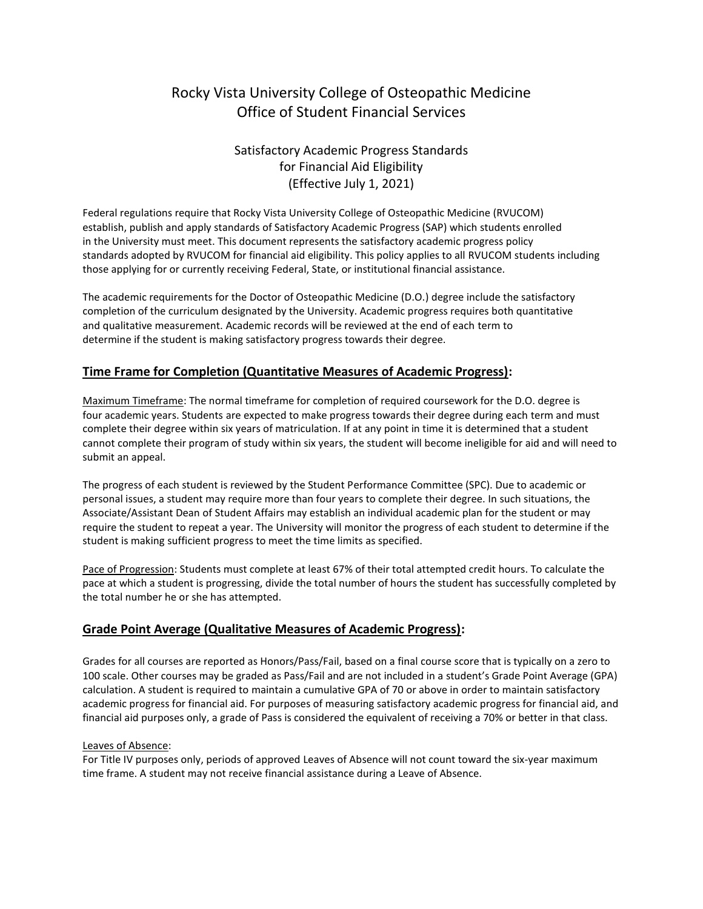# Rocky Vista University College of Osteopathic Medicine Office of Student Financial Services

# Satisfactory Academic Progress Standards for Financial Aid Eligibility (Effective July 1, 2021)

Federal regulations require that Rocky Vista University College of Osteopathic Medicine (RVUCOM) establish, publish and apply standards of Satisfactory Academic Progress (SAP) which students enrolled in the University must meet. This document represents the satisfactory academic progress policy standards adopted by RVUCOM for financial aid eligibility. This policy applies to all RVUCOM students including those applying for or currently receiving Federal, State, or institutional financial assistance.

The academic requirements for the Doctor of Osteopathic Medicine (D.O.) degree include the satisfactory completion of the curriculum designated by the University. Academic progress requires both quantitative and qualitative measurement. Academic records will be reviewed at the end of each term to determine if the student is making satisfactory progress towards their degree.

# **Time Frame for Completion (Quantitative Measures of Academic Progress):**

Maximum Timeframe: The normal timeframe for completion of required coursework for the D.O. degree is four academic years. Students are expected to make progress towards their degree during each term and must complete their degree within six years of matriculation. If at any point in time it is determined that a student cannot complete their program of study within six years, the student will become ineligible for aid and will need to submit an appeal.

The progress of each student is reviewed by the Student Performance Committee (SPC). Due to academic or personal issues, a student may require more than four years to complete their degree. In such situations, the Associate/Assistant Dean of Student Affairs may establish an individual academic plan for the student or may require the student to repeat a year. The University will monitor the progress of each student to determine if the student is making sufficient progress to meet the time limits as specified.

Pace of Progression: Students must complete at least 67% of their total attempted credit hours. To calculate the pace at which a student is progressing, divide the total number of hours the student has successfully completed by the total number he or she has attempted.

# **Grade Point Average (Qualitative Measures of Academic Progress):**

Grades for all courses are reported as Honors/Pass/Fail, based on a final course score that is typically on a zero to 100 scale. Other courses may be graded as Pass/Fail and are not included in a student's Grade Point Average (GPA) calculation. A student is required to maintain a cumulative GPA of 70 or above in order to maintain satisfactory academic progress for financial aid. For purposes of measuring satisfactory academic progress for financial aid, and financial aid purposes only, a grade of Pass is considered the equivalent of receiving a 70% or better in that class.

#### Leaves of Absence:

For Title IV purposes only, periods of approved Leaves of Absence will not count toward the six-year maximum time frame. A student may not receive financial assistance during a Leave of Absence.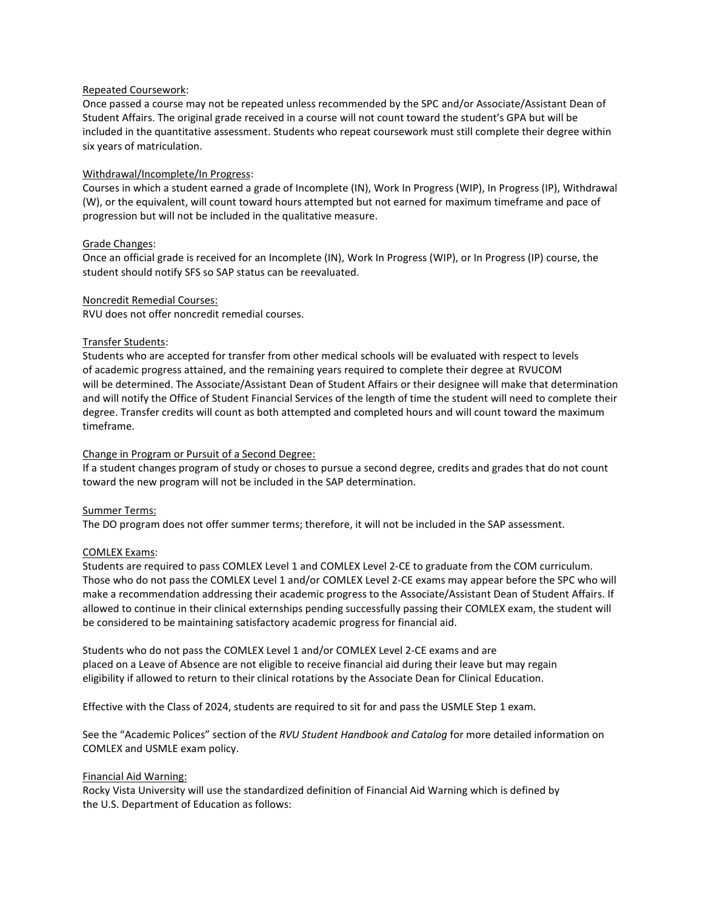#### Repeated Coursework:

Once passed a course may not be repeated unless recommended by the SPC and/or Associate/Assistant Dean of Student Affairs. The original grade received in a course will not count toward the student's GPA but will be included in the quantitative assessment. Students who repeat coursework must still complete their degree within six years of matriculation.

#### Withdrawal/Incomplete/In Progress:

Courses in which a student earned a grade of Incomplete (IN), Work In Progress (WIP), In Progress (IP), Withdrawal (W), or the equivalent, will count toward hours attempted but not earned for maximum timeframe and pace of progression but will not be included in the qualitative measure.

#### Grade Changes:

Once an official grade is received for an Incomplete (IN), Work In Progress (WIP), or In Progress (IP) course, the student should notify SFS so SAP status can be reevaluated.

#### Noncredit Remedial Courses:

RVU does not offer noncredit remedial courses.

#### Transfer Students:

Students who are accepted for transfer from other medical schools will be evaluated with respect to levels of academic progress attained, and the remaining years required to complete their degree at RVUCOM will be determined. The Associate/Assistant Dean of Student Affairs or their designee will make that determination and will notify the Office of Student Financial Services of the length of time the student will need to complete their degree. Transfer credits will count as both attempted and completed hours and will count toward the maximum timeframe.

#### Change in Program or Pursuit of a Second Degree:

If a student changes program of study or choses to pursue a second degree, credits and grades that do not count toward the new program will not be included in the SAP determination.

#### Summer Terms:

The DO program does not offer summer terms; therefore, it will not be included in the SAP assessment.

#### COMLEX Exams:

Students are required to pass COMLEX Level 1 and COMLEX Level 2-CE to graduate from the COM curriculum. Those who do not pass the COMLEX Level 1 and/or COMLEX Level 2-CE exams may appear before the SPC who will make a recommendation addressing their academic progress to the Associate/Assistant Dean of Student Affairs. If allowed to continue in their clinical externships pending successfully passing their COMLEX exam, the student will be considered to be maintaining satisfactory academic progress for financial aid.

Students who do not pass the COMLEX Level 1 and/or COMLEX Level 2-CE exams and are placed on a Leave of Absence are not eligible to receive financial aid during their leave but may regain eligibility if allowed to return to their clinical rotations by the Associate Dean for Clinical Education.

Effective with the Class of 2024, students are required to sit for and pass the USMLE Step 1 exam.

See the "Academic Polices" section of the *RVU Student Handbook and Catalog* for more detailed information on COMLEX and USMLE exam policy.

#### Financial Aid Warning:

Rocky Vista University will use the standardized definition of Financial Aid Warning which is defined by the U.S. Department of Education as follows: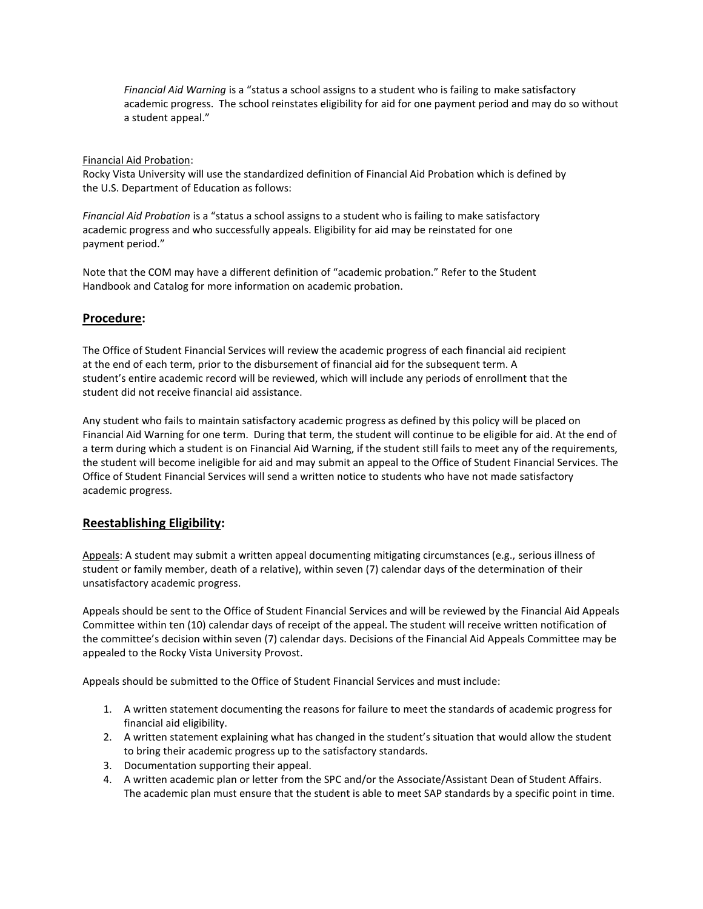*Financial Aid Warning* is a "status a school assigns to a student who is failing to make satisfactory academic progress. The school reinstates eligibility for aid for one payment period and may do so without a student appeal."

#### Financial Aid Probation:

Rocky Vista University will use the standardized definition of Financial Aid Probation which is defined by the U.S. Department of Education as follows:

*Financial Aid Probation* is a "status a school assigns to a student who is failing to make satisfactory academic progress and who successfully appeals. Eligibility for aid may be reinstated for one payment period."

Note that the COM may have a different definition of "academic probation." Refer to the Student Handbook and Catalog for more information on academic probation.

# **Procedure:**

The Office of Student Financial Services will review the academic progress of each financial aid recipient at the end of each term, prior to the disbursement of financial aid for the subsequent term. A student's entire academic record will be reviewed, which will include any periods of enrollment that the student did not receive financial aid assistance.

Any student who fails to maintain satisfactory academic progress as defined by this policy will be placed on Financial Aid Warning for one term. During that term, the student will continue to be eligible for aid. At the end of a term during which a student is on Financial Aid Warning, if the student still fails to meet any of the requirements, the student will become ineligible for aid and may submit an appeal to the Office of Student Financial Services. The Office of Student Financial Services will send a written notice to students who have not made satisfactory academic progress.

# **Reestablishing Eligibility:**

Appeals: A student may submit a written appeal documenting mitigating circumstances (e.g., serious illness of student or family member, death of a relative), within seven (7) calendar days of the determination of their unsatisfactory academic progress.

Appeals should be sent to the Office of Student Financial Services and will be reviewed by the Financial Aid Appeals Committee within ten (10) calendar days of receipt of the appeal. The student will receive written notification of the committee's decision within seven (7) calendar days. Decisions of the Financial Aid Appeals Committee may be appealed to the Rocky Vista University Provost.

Appeals should be submitted to the Office of Student Financial Services and must include:

- 1. A written statement documenting the reasons for failure to meet the standards of academic progress for financial aid eligibility.
- 2. A written statement explaining what has changed in the student's situation that would allow the student to bring their academic progress up to the satisfactory standards.
- 3. Documentation supporting their appeal.
- 4. A written academic plan or letter from the SPC and/or the Associate/Assistant Dean of Student Affairs. The academic plan must ensure that the student is able to meet SAP standards by a specific point in time.